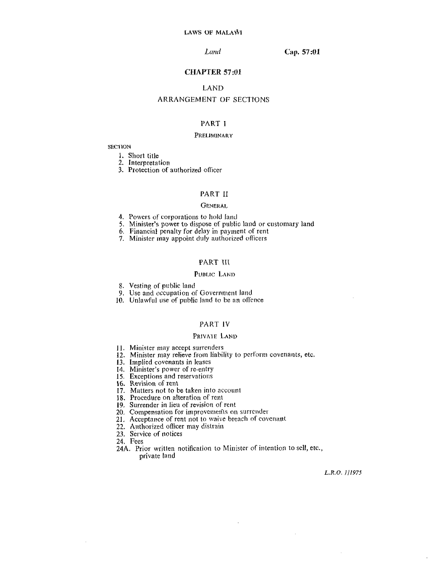#### Cap. 57:01

### **CHAPTER 57:01**

# **LAND**

## ARRANGEMENT OF SECTIONS

# PART I

#### PRELIMINARY

# **SECTION**

1. Short title

2. Interpretation

3. Protection of authorized officer

#### **PART II**

#### **GENERAL**

- 4. Powers of corporations to hold fand
- 5. Minister's power to dispose of public land or customary land
- 6. Financial penalty for delay in payment of rent
- 7. Minister may appoint duly authorized officers

#### PART III

#### PUBLIC LAND

- 8. Vesting of public land
- 9. Use and occupation of Government land
- 10. Unlawful use of public land to be an offence

## PART IV

# PRIVATE LAND

- 11. Minister may accept surrenders
- 12. Minister may relieve from liability to perform covenants, etc.
- 13. Implied covenants in leases
- 14. Minister's power of re-entry
- 15. Exceptions and reservations
- 16. Revision of rent
- 17. Matters not to be taken into account
- 18. Procedure on alteration of rent
- 19. Surrender in lieu of revision of rent
- 20. Compensation for improvements on surrender
- 21. Acceptance of rent not to waive breach of covenant
- 22. Authorized officer may distrain
- 23. Service of notices
- 24. Fees
- 24A. Prior written notification to Minister of intention to sell, etc., private land

L.R.O. 1/1975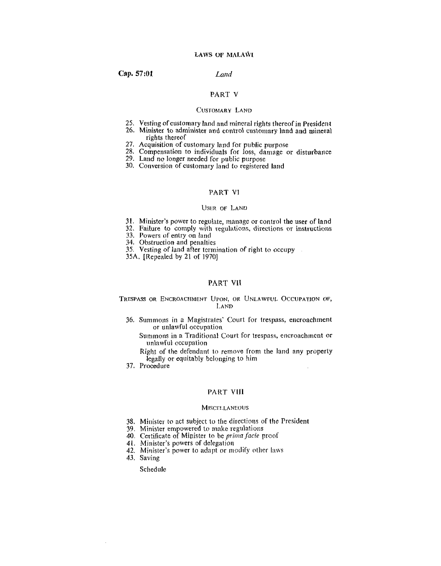#### Land

## **PAR'I' V**

## CUSTOMARY LAND

- 25. Vesting of customary land and mineral rights thereof in President
- 26. Minister to administer and control customary land and mineral rights thereof
- 27. Acquisition of customary land for public purpose
- 28. Compensation to individuals for loss, darnage or **disturbance**
- 29. Land no longer needed for public purpose
- 30. Conversion of customary land to registered land

## PART VI

#### USER OF LAND

- **31.** Minister's power to regulate, manage or control the user of land
- 32. **Failure** to comply with reguliltions, directions or **instructions**
- **33. Powers of entry** on land
- 34. Obstruction and penalties
- 35. Vesting of laad after termination of right to occupy
- **35A.** [Repealed by 21 of 19701

### **PAR'I' V11**

#### TRESPASS OR ENCROACHMENT UPON, OR UNLAWFUL OCCUPATION OF, LAND

36. Summons in a Magistrates' Court for trespass, encroachment or urilawful occupation

Summons in a Traditional Court for trespass, encroachment or unlawful occupation

Right of the defendant to remove from the land any property legally or equitably belonging to him

**37.** Procedure

# PART VIII

#### **MISCELLANEOUS**

- **38.** Minister to act subject to the directions of the President
- 39. Minister empowered to make regulations
- 40. Certificate of Minister to be *prima facie* proof
- 41. Minister's powers of dclepation
- 42. Minister's power to adapt or modify other laws
- **43.** Saving

 $\sim$ 

Schedule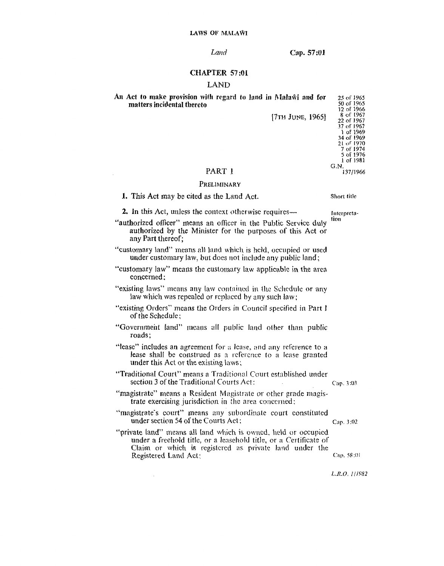Cap. 57:01

#### **CHAPTER 57:01**

# **LAND**

An Act to make provision with regard to land in Malawi and for matters incidental thereto

[7TH JUNE, 1965]

# PART 1

# PRELIMINARY

1. This Act may be cited as the Land Act.

Short title Interpreta-

tion

2. In this Act, unless the context otherwise requires—

"authorized officer" means an officer in the Public Service duly authorized by the Minister for the purposes of this Act or any Part thereof:

"customary land" means all land which is held, occupied or used under customary law, but does not include any public land;

- "customary law" means the customary law applicable in the area concerned:
- "existing laws" means any law contained in the Schedule or any law which was repealed or replaced by any such law;
- "existing Orders" means the Orders in Council specified in Part I of the Schedule:
- "Government land" means all public land other than public roads:
- "lease" includes an agreement for a lease, and any reference to a lease shall be construed as a reference to a lease granted under this Act or the existing laws:
- "Traditional Court" means a Traditional Court established under section 3 of the Traditional Courts Act: Cap. 3:03  $\sim$
- "magistrate" means a Resident Magistrate or other grade magistrate exercising jurisdiction in the area concerned;
- "magistrate's court" means any subordinate court constituted under section 54 of the Courts Act:
- "private land" means all land which is owned, held or occupied under a freehold title, or a leasehold title, or a Certificate of Claim or which is registered as private land under the Registered Land Act:

 $\bar{\psi}$ 

Cap. 3:02

Cap. 58:01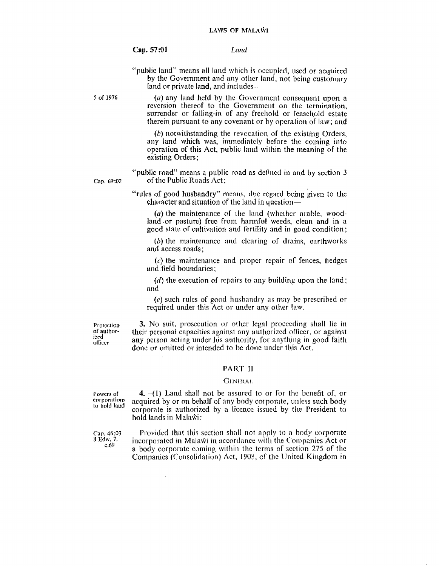Land

"public land" means all land which is occupied, used or acquired by the Government and any other land, not being customary land or private land, and includes-

5 of 1976

Cap. 69:02

 $(a)$  any land held by the Government consequent upon a reversion thereof to the Government on the termination. surrender or falling-in of any freehold or leasehold estate therein pursuant to any covenant or by operation of law; and

(b) notwithstanding the revocation of the existing Orders, any land which was, immediately before the coming into operation of this Act, public land within the meaning of the existing Orders:

"public road" means a public road as defined in and by section 3 of the Public Roads Act:

"rules of good husbandry" means, due regard being given to the character and situation of the land in question-

 $(a)$  the maintenance of the land (whether arable, woodland or pasture) free from harmful weeds, clean and in a good state of cultivation and fertility and in good condition;

 $(b)$  the maintenance and clearing of drains, earthworks and access roads;

(c) the maintenance and proper repair of fences, hedges and field boundaries:

(d) the execution of repairs to any building upon the land; and

(e) such rules of good husbandry as may be prescribed or required under this Act or under any other law.

Protection of authorized officer

3. No suit, prosecution or other legal proceeding shall lie in their personal capacities against any authorized officer, or against any person acting under his authority, for anything in good faith done or omitted or intended to be done under this Act.

# **PART II**

#### **GENERAL**

Powers of corporations to hold land

 $4, -(1)$  Land shall not be assured to or for the benefit of, or acquired by or on behalf of any body corporate, unless such body corporate is authorized by a licence issued by the President to hold lands in Malawi:

Cap. 46:03 3 Edw. 7.  $c.69$ 

Provided that this section shall not apply to a body corporate incorporated in Malawi in accordance with the Companies Act or a body corporate coming within the terms of section 275 of the Companies (Consolidation) Act, 1908, of the United Kingdom in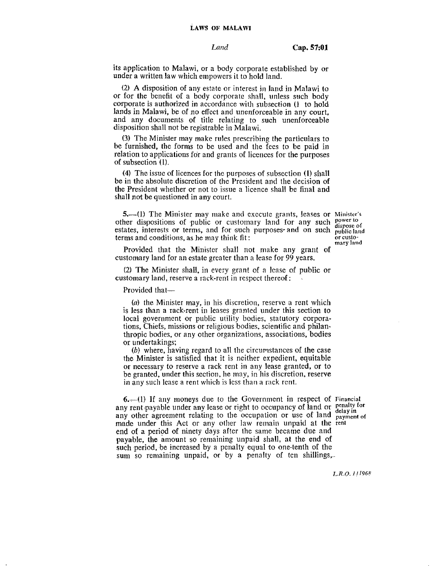its application to Malawi, or a body corporate established by or under a written law which **errlpowers** it **to hold** land.

(21 A disposition of any estate or interest **jn** land in Malawi to or for **the** benefit **of** a body corporate shall, unless such body corporate is authorized in accordance with subsection (1 to hold **Iands** in Malawi, be of no effcct **arid** unenforceable in any court. and any documents of title relating to such unenforceable disposition shall not be registrable **in** Malawi.

**(3)** Thc Miriister rnay make rules prescribing llle particulars to be furnished, **the** forms to be used **and** tlie fccs to be **paid** in relation to applications for and grants of licences for the purposes **of** subsection (l).

**(4)** The **issuc** of licences for **thc** purposes of subsection **(1) sllall**  be in **the** absolute discretion of (he President and the decision **of the President** whether or not to issue a licence shall be final and shall **not** be questioned in **any** court.

**5.**-(1) The Minister may make and execute grants, leases or Minister's other dispositions of public or customary land for any such power to estates, interests or terms, and for such purposes and on such publicland terms and conditions, as he may think fit:  $t$  terms and conditions, as he may think fit:

Provided that **the Mirlistcr** shall not **make** any grant of customary land for an **estate** greater than **n** lease for 99 **years.** 

(2) The Minister **shall.** in every grant of a **lcasc** of **public** or customary land, reserve a rack-rent in respect thereof:

Provided that-

(a) the Miriister may, **io** his discretion, rescrvc **n** rent which is less than a rack-rent in leases granted under this section to local government or public utility bodies, statutory corporations, **Chiefs,** missions or religious bodies, scientific and philanthropic bodies, **or** any other organiza tiorls, associations, bodies or undertakings:

(6) where, having regard to all tlie circumstances of **the** case the Minister **is** satisfied that it is neither expedient, equitable **or** necessary to **reserve** a rack rerlt **jn** any lease **granted,** or to be granted, under this section, he may, in his discrction, **reserve**  in any such lease a rent which is less than a rack rent.

**6.**—(1) If any moneys due to the Government in respect of Financial **b.**—(1) It any moneys due to the Government in respect of *Financial*<br>any rent payable under any lease or right to occupancy of land or penalty for any other agreement relating to the occupation or use of land payment of any other agreement relating to the occupation or use of land <sub>payment of made under this Act or any other law remain unpaid at the rent</sub> end of a period of ninety days after the same became due and payable, the amount so remaining unpaid shall, at the end of such period, be increased by a penalty equal to one-tenth of the **sum** so remaining unpaid, **or** by **a** penalty of ten shillings ...

**mary land**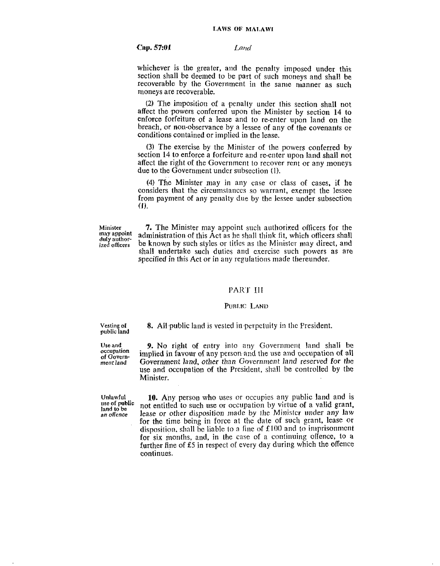Land

whichever is the greater, and the penalty imposed under this section shall be deemed to be part of such moneys and shall be recoverable by the Government in the same manner as such moneys are recoverable.

(2) The imposition of a penalty under this section shall not affect the powers conferred upon the Minister by section 14 to enforce forfeiture of a lease and to re-enter upon land on the breach, or non-observance by a lessee of any of the covenants or conditions contained or implied in the lease.

(3) The exercise by the Minister of the powers conferred by section 14 to enforce a forfeiture and re-enter upon land shall not affect the right of the Government to recover rent or any moneys due to the Government under subsection (1).

(4) The Minister may in any case or class of cases, if he considers that the circumstances so warrant, exempt the lessee from payment of any penalty due by the lessee under subsection  $(1)$ .

Minister may appoint duly authorized officers

**7.** The Minister may appoint such authorized officers for the administration of this Act as he shall think fit, which officers shall be known by such styles or titles as the Minister may direct, and shall undertake such duties and exercise such powers as are specified in this Act or in any regulations made thereunder.

#### PART III

#### PUBLIC LAND

Vesting of public land 8. All public land is vested in perpetuity in the President.

Use and occupation of Government land

9. No right of entry into any Government land shall be implied in favour of any person and the use and occupation of all Government land, other than Government land reserved for the use and occupation of the President, shall be controlled by the Minister.

Unlawful use of public land to be an offence

10. Any person who uses or occupies any public land and is not entitled to such use or occupation by virtue of a valid grant, lease or other disposition made by the Minister under any law for the time being in force at the date of such grant, lease or disposition, shall be liable to a fine of  $£100$  and to imprisonment for six months, and, in the case of a continuing offence, to a further fine of £5 in respect of every day during which the offence continues.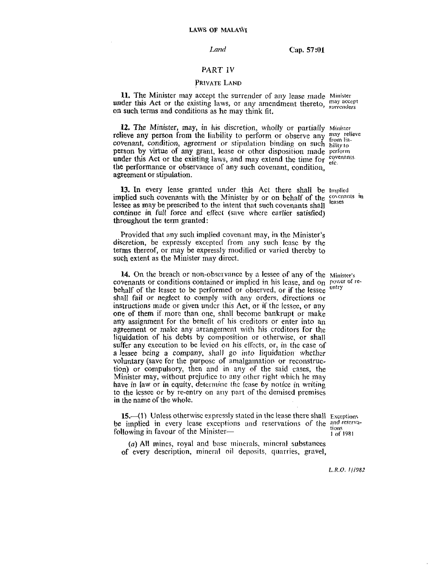Cap. 57:01

## **PART 1V**

# PRIVATE LAND

11. The Minister may accept the surrender of any lease made Minister under this Act or the existing laws, or any amendment thereto, surrenders on such terms and conditiorls as he **may** think fit.

**12.** The Minister, may, in his discretion, wholly or partially Minister relieve any person from the liability to perform or observe any **Finally** in the continuous continuous continuous *covenant, condition, agreement or stipulation binding on such bility to* person by virtue of any grant, lease or other disposition made perform under this Act or the existing laws, and may extend the time for  $\frac{c_0}{c_1}$  extending the performance or observance of any such covenant, condition. **agreement** or **stipulation.** 

13. In every lease granted under this Act there shall be Implied implied such covenants with the Minister by or on behalf of the **covenants** in **lessee as may** be **prescribed** to **thc** intent that **such** covenants **shall continue** in **Full force** and eflect **(save where earlier satisfied)**  throughout **the term** granted:

Provided that any such implied covenant may, in the Minister's discretion, be expressly exccpted from **any** such **Icnsc by** *the*  terms thereof, or may be expressly modified or varied thereby to such extent **as** the Minister may **direct.** 

**14.** On the breach or non-obscribution by a lessee of any of the Minister's covenants or conditions contained or implied in his lease, and on power of rebehalf **of** the **lessee** to be performed or observed, **ar** if the **lessee**  shall **fail** or **ncgfect to cornply** with **any** order\*~, **dircctiotls** or instructions made or given under this Act, or if the lessee, or any one of **them** if morc than one, shall become **barikrupt** or **make**  any assignment for the benefit of his creditors or enter into an **agreement** or make any arrangement with his creditors for the **!iqbidation** of his **dcbts** by composilior~ or otherwise, or shall suffer any execution to be levied on his effects, or, in the case of **a** lessee being a company, shall go into liquidation whether **voluntary** (save for the purpose of amalgarnation or reconstruction) or compulsory, then and in any of the said cases, the Minister may, without prejudice to any other right which he may **have in law or in equity, determine the lease by notice in writing** to the lessee or by re-entry on any part of the demised premises **in** the **name of** the whole.

**15.**-(1) Unless otherwise expressly stated in the lease there shall Exceptions be implied in every lease exceptions and reservations of the *and reserva*following in favour of the Minister-

<sup>1</sup>*OS* 1981

(a) All mines, royal and base minerals, mineral substances of **every** description, minenil oil deposits, quarries, **gravel,** 

*L. R.O.* I */l982*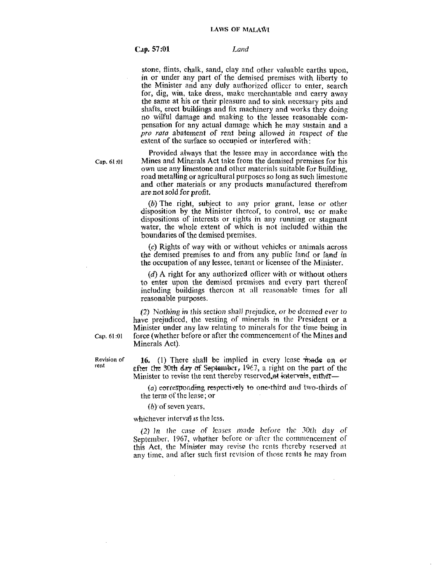#### **Cap. 57:Ol** *Laud*

stone, flints, chalk, sand, clay and other valuable earths upon. in or under any part of the dernised premises with liberty to the Minister and any duly authorized officer to enter, search for, dig, win, take dress, make merchantable and carry away the same at his or their pleasurc and **to** sink necessary pits **and**  shafts, erect **buildings** and **fix** machinery and works they doing no wilful damage and making to the lessee reasonable com**pensation** for any actual danlagc which he may **sustain and** a *pro rata* abatement of rent being allowed in respect of the extent of the surface so occupied or interfered with:

Provided always that the lessee may in **accordance with** the **Cap. 61. :OI** Mines and Minerals **Act** take from the dernised premises **for his**  own use any **limestone** and other materials suitable for building. road metalling or agricultural purposes so long as such limestone and other materials or any products manufactured therefrom **are** not sold for **profit.** 

> *(b)* The **right,** subject to any prior grant, lease or other disposition **by** the Minister thereof, to control, **usc or makc dispositioris** of interests or rights in any running or **stagnant**  water, the whole extent of which is not included within the boundaries **of** the demised premises.

> **(c)** Rights of way **wit11** or without **vchiclcs** or animals **across**  the demised premises **to and** from **any** public land **or land** in the occupation **of any** lessee, tenant or licensee of the Minister.

> *(d)* A right for any autllorized oficer with or without **others**  to enter upon the demised premises and every part thereof including buildings thereon at all reasonable times for all reasonable purposes.

(2) **Nothing in** this sectior~ shall prejudice, *or* hc dcemcd *ever* to have prejudiced, the vesting of minerals in the President or a Minister under any law relating to minerals for the **time being** in **Cap. 61 :OI force** (whether before or after the commencemelll of the Mines and Minerals **Act).** 

**Revision of 16.** (1) There shall be implied in every lease **made** on or **rent eftm** tk 30th **day uf** Sepkwdxr, **1W7,** a right on the part of **the**  Minister to revise the rent thereby reserved at intervals, either-

> (a) corresponding respectively to one-third and two-thirds of the term **of** the lease; *or*

**(b),of** seven years,

whichever interval is the less.

 $\sim$ 

(2) In the case of *kases* made *before* the 30th *day* of September, 1967, whether before or after the commencement of this Act, the Minister may revise the rents thereby reserved at any time, and after such first revision of those rents he may from

 $\mathcal{A}$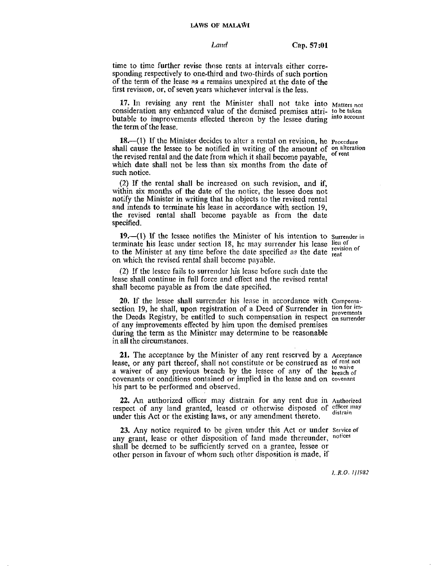#### **LAWS OF MALAWI**

*Land* **<b>Cap, 57:01** 

time to time further revise those rents at intervals either corresponding respectively to one-third and two-thirds of such portion of the term **of** the **lease** *3s* a remains unexpired at the date of the first revision, or, of **seven** years whichever intervaI is the less.

**17.** In revising any rent the Minister shall not **take into** Matters **not consideration** any enhanced value of the dernised premises attri- *!o* **be taken**  butable to improvements effected thereon by the lessee during into account **the term** of the lease.

18.-(1) If the Minister decides to alter a rental on revision, he **Procedure** shall cause the lessee to be notified in writing of the amount of on alteration the raying rantal and the data from which it ahall because navalely of rent **the** revised **rental** and the date from which it **sIlall** become **payable,**  which **date shall** not be less than **six** months from the date of such **notice.** 

(2) If **the** rental **shall** be increased on such revision, **and if,**  within *six* months **of the** date of the notice, tlic lessee does not **notify** the Minister in **writing** that he objects to the revised rental and intends **to** terminate his lease in accordance with section 19, **the** revised **rental** shall become payable as from the date **specified.** 

**19.-(1) If** the **lessee** notifies the **Minister** of his intention to Surrender **in**  terminate his lease under section 18, he may surrender his lease lieu of to the Minister at any time before the date specified as the date revision of<br>on which the revised enter all the specified as the date rent on which the **revised** rental shall become **payable,** 

(2) If the **lessee** fails to surrc~ider his **Iense** before such date the tease shall continue in **full** force **and** effect and the revised rental shall become payable as from the date specified.

**20.** If the lessee shall surrender his lease in accordance with Compensa-section 19, he shall, upon registration of a Deed of Surrender in tion for imsection 19, he shall, upon registration of a Deed of Surrender in provements the Deeds Registry, be entitled to such compensation in respect <sub>on surrender</sub> of **any improvements** effected by hitn upon the demised premises during **the** tern as the Minister may determine to be reasonable in all the **circumstances.** 

**21.** The acceptance by the Minister of any rent reserved by a Acceptance lease, or any part thereof, shall not constitute or be construed as of rent not a waiver of **any** previous **breach by** the lessee **of any** of the **hereach covenants or** conditions **contained** or implied **in** the **lease** and on **covenant**  his part to be performed and observed.

22. An authorized officer may distrain for any rent due in **Authorized**  respect of any land granted, leased or otherwise disposed of officer may under this Act or the existing laws, or any amendment thereto.

**23.** Any notice required to be given under this Act or under Service of **pairs**  $\alpha$  **p**  $\alpha$  **p**  $\alpha$ **i**ces **or** other disposition of land made thereunder. notices any grant, lease or other disposition of land made thereunder, **shall** be deemed to be sufficiently served on a grantee, **lessee** or **other** pcrson **in** favour **of whom** such other disposition **is** made, **if**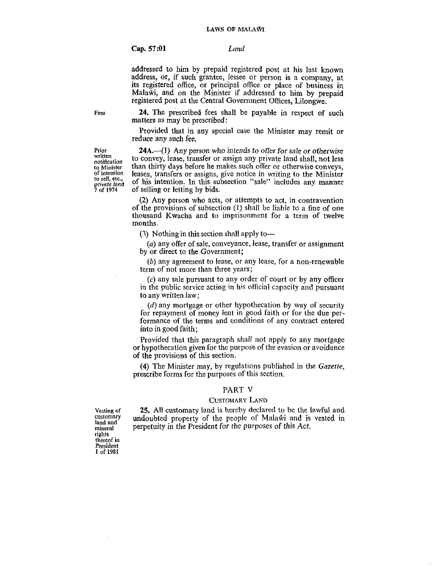### **Cap, 57:Ol** *Land*

**addressed to** him by **prepaid** registered **post at his** last known address, or, if such grantee, lessee or person **is** a **company,** at **its** registered office, or principal **oftice** or **place of business** in **Mala\$i,** and on *the* Minister if **addressed to** him **by prepaid**  registered post at the Central Government Offices, Lilongwe.

**24. The** heprescribed fees **shali** be **payable** in respect **of such matters as** may be **prescribed** :

**Provided that** in **any** special case **the** Minister may **remit** or reduce **any** such **fee.** 

**24A.-41) Any person** who intends to *offer for sale* or otherwise to **convey,** lease, transfer or assign any **private** land **shall,** not less than thirty days before he **makes** such offer or otherwise conveys, **leases,** transfers or assigns, give notice in writing **to** the Minister of **his** intention. In this subsection **"sale"** includes any **manner**  of selling or **letting** by **bids.** 

(2) **Any** person who acts, or attempts to act, in contravention of the provisions of subsection (I) si~all be liable to a fine **of one**  thousand **Kwacha and to** imprisonment for **a** term of **twelve months.** 

*(R)* Nothing in **this** section shall **apply** to-

(a) any offer of sale, conveyance, lease, transfer or assignment **by or direct** to **the** Government;

*(b)* any agreement **to** lease, or **any** lease, for **a** non-renewable term of not **mare** than three years;

(c) any sale pursuant to **any** order of court or **by any** officer in **the** public service **acting iri his** oliicinl **cnpncity and pursuant to any written** law ;

(d) any mortgage or other hypothecation by way of security for repayment of money lent in good faith or for the due performance **of** the terms and conditions of **any contract entered**  into in **good** faith;

Provided **that** this paragraph shall not apply to **any** mortgage **or hypothecation given for the purpose of the evasion or avoidance** of the provisions of this section.

**(4)** The Minister may, **by** regulations published in the **Gazetie, prescribe** forms for the purposes of this section,

### **PART V**

## **CUSTOMARY LAND**

**25. All** customary land is hereby declared to be the **lawful and**  undoubted property of the people of Malafii and is **vested** in **perpetuity** in the **Resident** for the purposes **of** *this* **Act.** 

**Prior written**  *notiftca tion*  **to Minister of intention io** sell, **etc., pride** *land*  **7 of 1974** 

**Vesting of customary land and mineral rigl~ls thereof in Ptesidcn! 1 of 1981.** 

**Fees**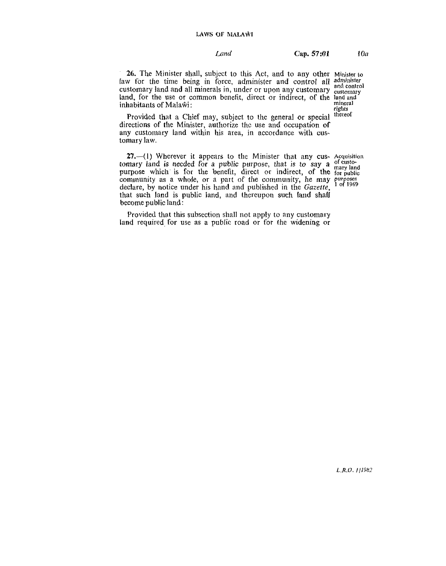# *Cap.* **<b>57:01** *10a*

**26.** The **Minister** shall, subject **to** this **Act,** and *to* **any** other **Minister to**  faw for the time being in force, administer and control all a customary land and all minerals in, under or upon any customary  $_{c}^{a}$ customary land and all minerals in, under or upon any customary customary<br>land, for the use or common benefit, direct or indirect, of the land and<br>inhabitants of Malawi inhabitants of Malawi:<br> **ights**<br> **Provided that a Chief may subject to the canonal or special thereof** 

Provided that a Chief may, subject to the general or special directions **of the Minister, authorize** thc **use and** occupation **of**  any customary land within his area, in accordance with cus**tomary** law.

**27.-(1) Wherever it** appears to the Minister that **any cus- Acquisition tornary** land is needed for a public purpose, that is to say a  $\frac{1}{2}$  of customary land is needed for a public purpose, that is to say a  $\frac{1}{2}$  mary land purpose which is for the benefit, direct or indirect, of the forpublic community as a whole, or a part of the community, he may *purposes* community as a whole, or a part of the community, he may *purposes* declare, by notice under his hand and published in the *Gazette*, that such land is public land, and thereupon such land shall become public land:

Provided that this subsection shall not apply to any customary land required, **for use as a** public **road** or for **the** widening or

 $L.R.O.$  [11982]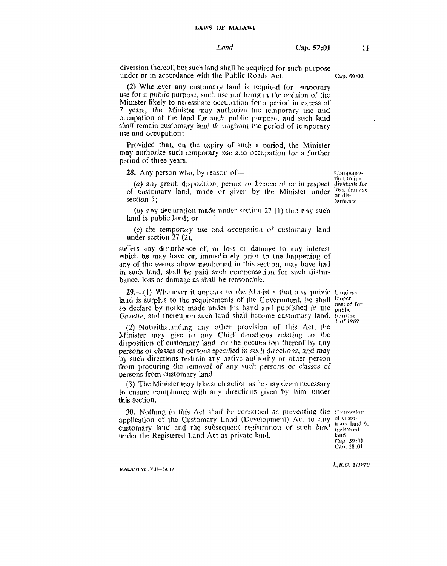diversion thereof, but such land shall be acquired for such purpose under or in accordance with the Public Roads Act.

Cap. 69:02

(2) Whenever any customary land is required for temporary use for a public purpose, such use not being in the opinion of the Minister likely to necessitate occupation for a period in excess of 7 years, the Minister may authorize the temporary use and occupation of the land for such public purpose, and such land shall remain customary land throughout the period of temporary use and occupation:

Provided that, on the expiry of such a period, the Minister may authorize such temporary use and occupation for a further period of three years.

28. Any person who, by reason of -

(a) any grant, disposition, permit or licence of or in respect dividuals for of customary land, made or given by the Minister under section  $5$ ;

(b) any declaration made under section  $27(1)$  that any such land is public land; or

(c) the temporary use and occupation of customary land under section  $27(2)$ ,

suffers any disturbance of, or loss or damage to any interest which he may have or, immediately prior to the happening of any of the events above mentioned in this section, may have had in such land, shall be paid such compensation for such disturbance, loss or damage as shall be reasonable.

**29.**—(1) Whenever it appears to the Minister that any public Land no land is surplus to the requirements of the Government, be shall so declare by notice made under his hand and published in the Gazette, and thereupon such land shall become customary land. purpose

(2) Notwithstanding any other provision of this Act, the Minister may give to any Chief directions relating to the disposition of customary land, or the occupation thereof by any persons or classes of persons specified in such directions, and may by such directions restrain any native authority or other person from procuring the removal of any such persons or classes of persons from customary land.

(3) The Minister may take such action as he may deem necessary to ensure compliance with any directions given by him under this section.

30. Nothing in this Act shall be construed as preventing the Conversion application of the Customary Land (Development) Act to any customary land and the subsequent registration of such land under the Registered Land Act as private land.

of customary land to registered land Cap. 59:01 Cap. 58:01

MALAWI Vol. VIII-Sie 19

Compensation to inloss, damage nr die. turbance

longer needed for **public** 1 of 1969

 $L, R. O. 1/1970$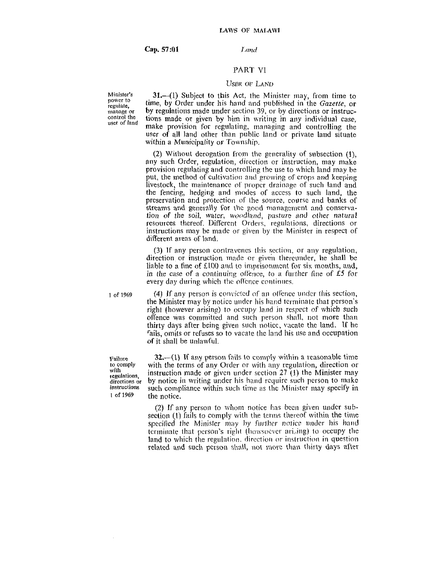Land

# PART VI

# **USBR OF LAND**

Minister's power to regulate. manage or control the uset of land

31.-(1) Subject to this Act, the Minister may, from time to time, by Order under his hand and published in the Gazette, or by regulations made under section 39, or by directions or instructions made or given by him in writing in any individual case. make provision for regulating, managing and controlling the user of all land other than public land or private land situate within a Municipality or Township.

(2) Without derogation from the generality of subsection (1). any such Order, regulation, direction or instruction, may make provision regulating and controlling the use to which land may be put, the method of cultivation and growing of crops and keeping livestock, the maintenance of proper drainage of such land and the fencing, hedging and modes of access to such land, the preservation and protection of the source, course and banks of streams and generally for the good management and conservation of the soil, water, woodland, pasture and other natural resources thereof. Different Orders, regulations, directions or instructions may be made or given by the Minister in respect of different areas of land.

(3) If any person contravenes this section, or any regulation, direction or instruction made or given there under, he shall be liable to a fine of £100 and to imprisonment for six months, and, in the case of a continuing offence, to a further fine of £5 for every day during which the offence continues.

1 of 1969

(4) If any person is convicted of an offence under this section, the Minister may by notice under his hand terminate that person's right (however arising) to occupy land in respect of which such offence was committed and such person shall, not more than thirty days after being given such notice, vacate the land. If he fails, omits or refuses so to vacate the land his use and occupation of it shall be unlawful.

Failure to comply with regulations. directions or instructions 1 of 1969

 $32 - (1)$  If any person fails to comply within a reasonable time with the terms of any Order or with any regulation, direction or instruction made or given under section  $27(1)$  the Minister may by notice in writing under his hand require such person to make such compliance within such time as the Minister may specify in the notice.

(2) If any person to whom notice has been given under subsection (1) fails to comply with the terms thereof within the time specified the Minister may by further notice under his hand terminate that person's right (howsoever arising) to occupy the land to which the regulation, direction or instruction in question related and such person shall, not more than thirty days after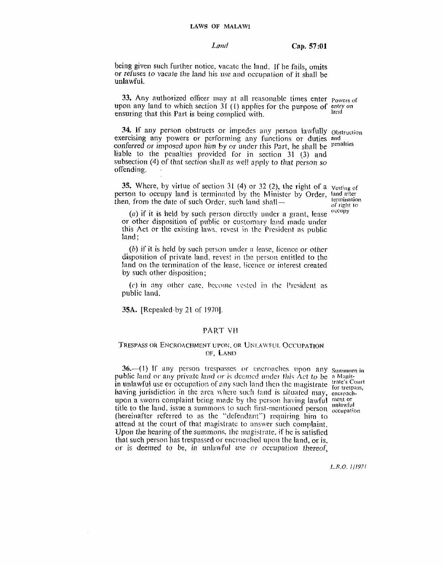#### LAWS OF MALAWI

#### Land

Cap. 57:01

being given such further notice, vacate the land. If he fails, omits or refuses to vacate the land his use and occupation of it shall be unlawful.

33. Any authorized officer may at all reasonable times enter Powers of upon any land to which section  $31$  (1) applies for the purpose of entry on<br>appliciant that this Part is being complied with ensuring that this Part is being complied with.

34. If any person obstructs or impedes any person lawfully Obstruction exercising any powers or performing any functions or duties and conferred or imposed upon him by or under this Part, he shall be penalties liable to the penalties provided for in section 31 (3) and subsection (4) of that section shall as well apply to that person so offending.

35. Where, by virtue of section 31 (4) or 32 (2), the right of a vesting of person to occupy land is terminated by the Minister by Order, land after then, from the date of such Order, such land shall—

(a) if it is held by such person directly under a grant, lease or other disposition of public or customary land made under this Act or the existing laws, revest in the President as public land:

(b) if it is held by such person under a lease, licence or other disposition of private land, revest in the person entitled to the land on the termination of the lease, licence or interest created by such other disposition;

(c) in any other case, become vested in the President as public land.

**35A.** [Repealed by 21 of 1970].

# PART VII

## TRESPASS OR ENCROACHMENT UPON, OR UNLAWFUL OCCUPATION OF, LAND

36. (1) If any person trespasses or encroaches upon any Summons in public land or any private land or is deemed under this Act to be a Magispublic land or any private land or is deemed under this Act to be a magnetic in unlawful use or occupation of any such land then the magistrate for trespass, having jurisdiction in the area where such land is situated may, encroachupon a sworn complaint being made by the person having lawful ment or title to the land, issue a summons to such first-mentioned person unlawful (hereinafter referred to as the "defendant") requiring him to attend at the court of that magistrate to answer such complaint. Upon the hearing of the summons, the magistrate, if he is satisfied that such person has trespassed or encroached upon the land, or is. or is deemed to be, in unlawful use or occupation thereof.

termination of right to occupy

L.R.O. 1/1971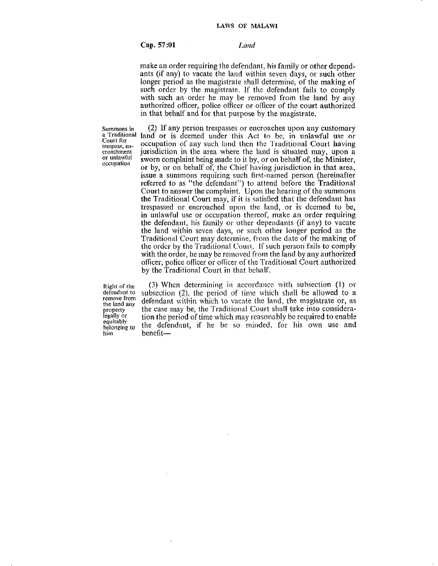**Cap. 57:Ul** *I~nd* 

**make** an order requiring the defendant, his family or other depend**ants (if** any) to vacate the land within seven days, or such other longer period as the magistrale shall determine, of the **making** of such order by the magistrate. If the defendant fails to comply with such an order he may be removed from the land by any authorized oficer, police olficer or officer of the court authorized in that behalf and for that purpose by the magistrate.

**Surnrn??s in** (2) **If any** person trespasses or encroaches upon any customary a Traditional land or is deemed under this Act to be, in unlawful use or Court for a compution of any one had then the Traditional Court begins **trapared** in the **compation** of any such land then the Traditional Court having trespass, en. **in** interpretation in the area where the land is situated may, upon a croachment jurisdiction in the area where the land is situated may, upon **a** or unlawful sworn complaint being made to it by, or on behalf of, the Minister, **Or sworn** complaint being made to it by, or **011** behalf of, the Minister, **oxupation** or by, or on behalf of, the Chief having jurisdiction in that area, **issue a summons requiring such first-named person (hereinafter)** referred to as "the defendant") to attend before the Traditional Court to answer **the** complaint. Upon the hearing of the summons **the** Traditional **Court** may, if **it** is satisfied that **the** defendant has trespassed or encroached upon the land, or is deemed to be, in unlawful use or occupation thereof, **make** an order requiring **thc** dcfendant, his family or otlier deperldarlts (if any) to vacate the land within seven days, or such other longer period as the Traditional Court may determine, from the date of the making of the order by the Traditional Court. If such person fails to comply with the order, he may be removed from the land by any authorized oficer, police oificcr or ollicer of the Traditional Court authorized by the Traditional Court in that behalf,

him benefit-

**Right of the**  $(3)$  When determining in accordance with subsection (1) or defendant to subsection (2), the period of time which shall be allowed to a defendant to subsection (2), the period of time which shall be allowed to a remove from defendant within which to vacate the land, the magistrate or, as remove from defendant within which to vacate the land, the magistrate or, as property the case may be, the Traditional Court shall take into consideraproperty the case may be, the Traditional Court shall take into considera-<br>legally or tion the period of time which may reasonably be required to enable legally or **the period of time which may reasonably be required to enable** equitably **the defendant**, if he be so minded, for his own use and the defendant, if he be so minded, for his own use and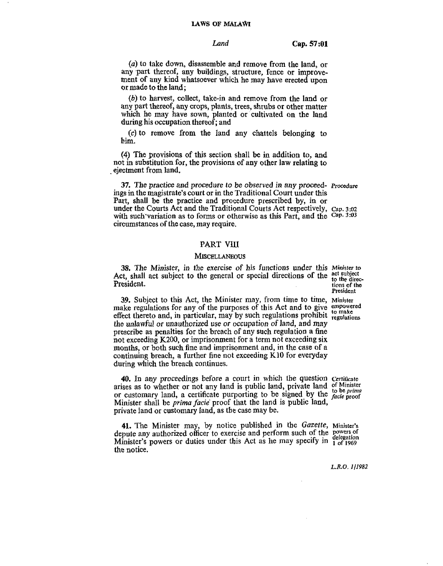#### **LAWS OF MALAWI**

**Land Cap. 57:Ol** 

*(a)* **to take down, disassemble and remove from the land,** or any part thereof, any buildings, structure, fence or improvement **of any kind whatsoever which** he **may have erected upon or made to the land** ;

*(b)* **to harvest, collect, take-in and remove from the land or any part thereof, any crops,** plants, **trees, shrubs** or **other matter which he may have sown, planted or cultivated on** the **land during** his **occupation thereof; and** 

**(c) to remove from the Iand any chat.tels belonging to**  him.

**(4)** The **provisions** of **this section shall be in addition to, and**  not in substitution for, the provisions of any other law relating to ejectment from land.

**37.** The practice and procedure to be observed in any proceed- Procedure ings **in the magistrate's court or in the Traditional Court under this Part, shall be the practice and procedure prescribed by, in or under** the Courts **Act and the Traditional Courts Act respectively, cap. 3:02 with such'variation as to forms or otherwise as this Part, and the Cap. 3103**  circumstances **of** the **case, may require.** 

## **PART V111**

#### **MISCELLANEOUS**

**33, The Minister, in the exercise** of **his functions** under **this Minjster to**  Act, shall act subject to the general or special directions of the <sup>act subject</sup> **President.** tions of the **President**.

**Wident** 

**39. Subject** to **this Act, the Minister may, from time to time, Minister**  make regulations for any of the purposes of this Act and to give any  $\frac{1}{2}$  effect thereto and, in particular, may by such regulations prohibit  $\frac{1}{2}$  regulations the **unlawful** or unauthorized **use or** occupation **of land,** and **may prescribe as penalties for the** breach **of any such regulation a** he **not exceeding K200, or imprisonment for a** term **not exceeding six months, or both such** fine **and imprisonment and, in** the **case of a continuing breach, a further** fine not **exceeding K10** for **everyday during which the breach** continues.

**40.** In any proceedings before a court in which the question Certificate arises as to whether or not any land is public land, private land of Minister arises as to whether or not any land is public land, private land  $\ddot{o}$  to be *prima* or customary land, a certificate purporting to be signed by the *facie* proof **Minister** shall be *prima fucie'* proof **that the land is public land, private Iand or customary Imd, as** tbe **case may be.** 

**41.** The Minister may, by notice published in the *Gazette*, Minister's depute any authorized officer to exercise and perform such of the powers of depute any authorized officer to exercise and perform such ox the delegation Minister's powers or duties under this Act as he may specify in  $\frac{1}{1}$  of 1969 **the** notice.